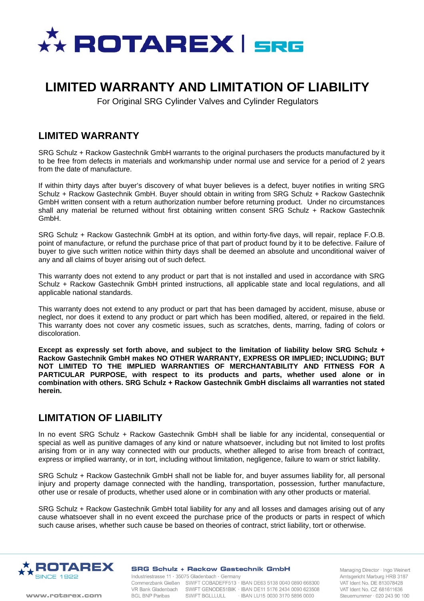

# **LIMITED WARRANTY AND LIMITATION OF LIABILITY**

For Original SRG Cylinder Valves and Cylinder Regulators

#### **LIMITED WARRANTY**

SRG Schulz + Rackow Gastechnik GmbH warrants to the original purchasers the products manufactured by it to be free from defects in materials and workmanship under normal use and service for a period of 2 years from the date of manufacture.

If within thirty days after buyer's discovery of what buyer believes is a defect, buyer notifies in writing SRG Schulz + Rackow Gastechnik GmbH. Buyer should obtain in writing from SRG Schulz + Rackow Gastechnik GmbH written consent with a return authorization number before returning product. Under no circumstances shall any material be returned without first obtaining written consent SRG Schulz + Rackow Gastechnik GmbH.

SRG Schulz + Rackow Gastechnik GmbH at its option, and within forty-five days, will repair, replace F.O.B. point of manufacture, or refund the purchase price of that part of product found by it to be defective. Failure of buyer to give such written notice within thirty days shall be deemed an absolute and unconditional waiver of any and all claims of buyer arising out of such defect.

This warranty does not extend to any product or part that is not installed and used in accordance with SRG Schulz + Rackow Gastechnik GmbH printed instructions, all applicable state and local regulations, and all applicable national standards.

This warranty does not extend to any product or part that has been damaged by accident, misuse, abuse or neglect, nor does it extend to any product or part which has been modified, altered, or repaired in the field. This warranty does not cover any cosmetic issues, such as scratches, dents, marring, fading of colors or discoloration.

**Except as expressly set forth above, and subject to the limitation of liability below SRG Schulz + Rackow Gastechnik GmbH makes NO OTHER WARRANTY, EXPRESS OR IMPLIED; INCLUDING; BUT NOT LIMITED TO THE IMPLIED WARRANTIES OF MERCHANTABILITY AND FITNESS FOR A PARTICULAR PURPOSE, with respect to its products and parts, whether used alone or in combination with others. SRG Schulz + Rackow Gastechnik GmbH disclaims all warranties not stated herein.** 

### **LIMITATION OF LIABILITY**

In no event SRG Schulz + Rackow Gastechnik GmbH shall be liable for any incidental, consequential or special as well as punitive damages of any kind or nature whatsoever, including but not limited to lost profits arising from or in any way connected with our products, whether alleged to arise from breach of contract, express or implied warranty, or in tort, including without limitation, negligence, failure to warn or strict liability.

SRG Schulz + Rackow Gastechnik GmbH shall not be liable for, and buyer assumes liability for, all personal injury and property damage connected with the handling, transportation, possession, further manufacture, other use or resale of products, whether used alone or in combination with any other products or material.

SRG Schulz + Rackow Gastechnik GmbH total liability for any and all losses and damages arising out of any cause whatsoever shall in no event exceed the purchase price of the products or parts in respect of which such cause arises, whether such cause be based on theories of contract, strict liability, tort or otherwise.



#### **SRG Schulz + Rackow Gastechnik GmbH**

www.rotarex.com

Industriestrasse 11 · 35075 Gladenbach · Germany Commerzbank Gießen SWIFT COBADEFF513 - IBAN DE63 5138 0040 0890 668300 VR Bank Gladenbach SWIFT GENODE51BIK · IBAN DE11 5176 2434 0090 623508<br>BGL BNP Paribas SWIFT BGLLLULL · IBAN LU15 0030 3170 5896 0000

Managing Director · Ingo Weinert Amtsgericht Marburg HRB 3187 VAT Ident No. DE 813078428 VAT Ident No. CZ 681611636 Steuernummer · 020 243 90 100